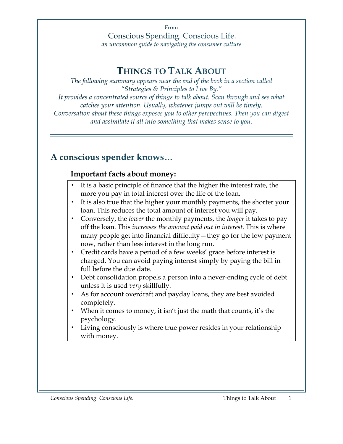From Conscious Spending. Conscious Life.

an uncommon guide to navigating the consumer culture

## **THINGS TO TALK ABOUT**

The following summary appears near the end of the book in a section called "Strategies & Principles to Live By." It provides a concentrated source of things to talk about. Scan through and see what catches your attention. Usually, whatever jumps out will be timely. Conversation about these things exposes you to other perspectives. Then you can digest and assimilate it all into something that makes sense to you.

## A conscious spender knows...

#### **Important facts about money:**

- It is a basic principle of finance that the higher the interest rate, the more you pay in total interest over the life of the loan.
- It is also true that the higher your monthly payments, the shorter your loan. This reduces the total amount of interest you will pay.
- Conversely, the *lower* the monthly payments, the *longer* it takes to pay off the loan. This *increases the amount paid out in interest*. This is where many people get into financial difficulty—they go for the low payment now, rather than less interest in the long run.
- Credit cards have a period of a few weeks' grace before interest is charged. You can avoid paying interest simply by paying the bill in full before the due date.
- Debt consolidation propels a person into a never-ending cycle of debt unless it is used *very* skillfully.
- As for account overdraft and payday loans, they are best avoided completely.
- When it comes to money, it isn't just the math that counts, it's the psychology.
- Living consciously is where true power resides in your relationship with money.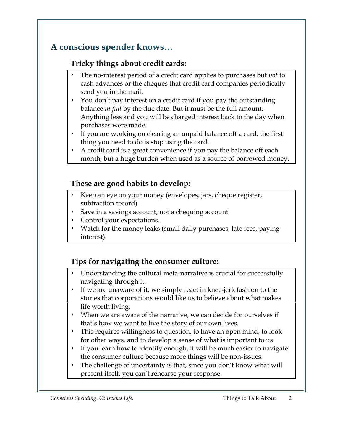# A conscious spender knows...

## **Tricky things about credit cards:**

- The no-interest period of a credit card applies to purchases but *not* to cash advances or the cheques that credit card companies periodically send you in the mail.
- You don't pay interest on a credit card if you pay the outstanding balance *in full* by the due date. But it must be the full amount. Anything less and you will be charged interest back to the day when purchases were made.
- If you are working on clearing an unpaid balance off a card, the first thing you need to do is stop using the card.
- A credit card is a great convenience if you pay the balance off each month, but a huge burden when used as a source of borrowed money.

### **These are good habits to develop:**

- Keep an eye on your money (envelopes, jars, cheque register, subtraction record)
- Save in a savings account, not a chequing account.
- Control your expectations.
- Watch for the money leaks (small daily purchases, late fees, paying interest).

## **Tips for navigating the consumer culture:**

- Understanding the cultural meta-narrative is crucial for successfully navigating through it.
- If we are unaware of it, we simply react in knee-jerk fashion to the stories that corporations would like us to believe about what makes life worth living.
- When we are aware of the narrative, we can decide for ourselves if that's how we want to live the story of our own lives.
- This requires willingness to question, to have an open mind, to look for other ways, and to develop a sense of what is important to us.
- If you learn how to identify enough, it will be much easier to navigate the consumer culture because more things will be non-issues.
- The challenge of uncertainty is that, since you don't know what will present itself, you can't rehearse your response.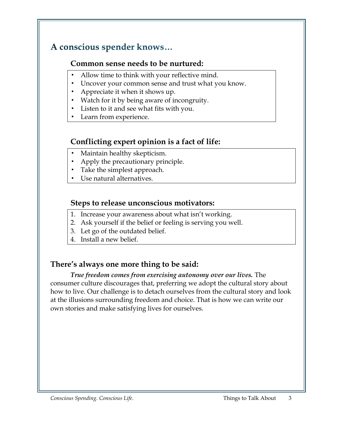## A conscious spender knows...

#### **Common sense needs to be nurtured:**

- Allow time to think with your reflective mind.
- Uncover your common sense and trust what you know.
- Appreciate it when it shows up.
- Watch for it by being aware of incongruity.
- Listen to it and see what fits with you.
- Learn from experience.

## **Conflicting expert opinion is a fact of life:**

- Maintain healthy skepticism.
- Apply the precautionary principle.
- Take the simplest approach.
- Use natural alternatives.

### **Steps to release unconscious motivators:**

- 1. Increase your awareness about what isn't working.
- 2. Ask yourself if the belief or feeling is serving you well.
- 3. Let go of the outdated belief.
- 4. Install a new belief.

## **There's always one more thing to be said:**

*True freedom comes from exercising autonomy over our lives.* The consumer culture discourages that, preferring we adopt the cultural story about how to live. Our challenge is to detach ourselves from the cultural story and look at the illusions surrounding freedom and choice. That is how we can write our own stories and make satisfying lives for ourselves.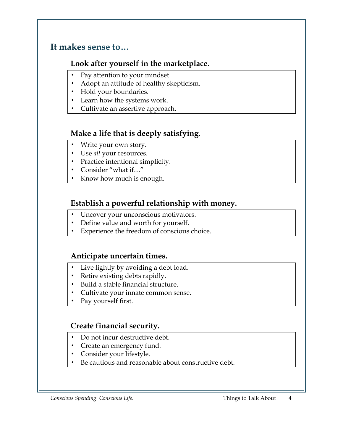## It makes sense to...

#### **Look after yourself in the marketplace.**

- Pay attention to your mindset.
- Adopt an attitude of healthy skepticism.
- Hold your boundaries.
- Learn how the systems work.
- Cultivate an assertive approach.

#### **Make a life that is deeply satisfying.**

- Write your own story.
- Use *all* your resources.
- Practice intentional simplicity.
- Consider "what if…"
- Know how much is enough.

### **Establish a powerful relationship with money.**

- Uncover your unconscious motivators.
- Define value and worth for yourself.
- Experience the freedom of conscious choice.

#### **Anticipate uncertain times.**

- Live lightly by avoiding a debt load.
- Retire existing debts rapidly.
- Build a stable financial structure.
- Cultivate your innate common sense.
- Pay yourself first.

#### **Create financial security.**

- Do not incur destructive debt.
- Create an emergency fund.
- Consider your lifestyle.
- Be cautious and reasonable about constructive debt.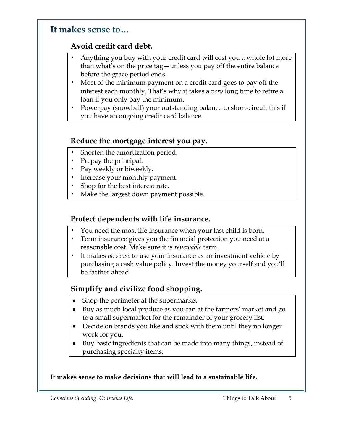#### It makes sense to...

## **Avoid credit card debt.**

- Anything you buy with your credit card will cost you a whole lot more than what's on the price tag—unless you pay off the entire balance before the grace period ends.
- Most of the minimum payment on a credit card goes to pay off the interest each monthly. That's why it takes a *very* long time to retire a loan if you only pay the minimum.
- Powerpay (snowball) your outstanding balance to short-circuit this if you have an ongoing credit card balance.

#### **Reduce the mortgage interest you pay.**

- Shorten the amortization period.
- Prepay the principal.
- Pay weekly or biweekly.
- Increase your monthly payment.
- Shop for the best interest rate.
- Make the largest down payment possible.

## **Protect dependents with life insurance.**

- You need the most life insurance when your last child is born.
- Term insurance gives you the financial protection you need at a reasonable cost. Make sure it is *renewable* term.
- It makes *no sense* to use your insurance as an investment vehicle by purchasing a cash value policy. Invest the money yourself and you'll be farther ahead.

## **Simplify and civilize food shopping.**

- Shop the perimeter at the supermarket.
- Buy as much local produce as you can at the farmers' market and go to a small supermarket for the remainder of your grocery list.
- Decide on brands you like and stick with them until they no longer work for you.
- Buy basic ingredients that can be made into many things, instead of purchasing specialty items.

#### **It makes sense to make decisions that will lead to a sustainable life.**